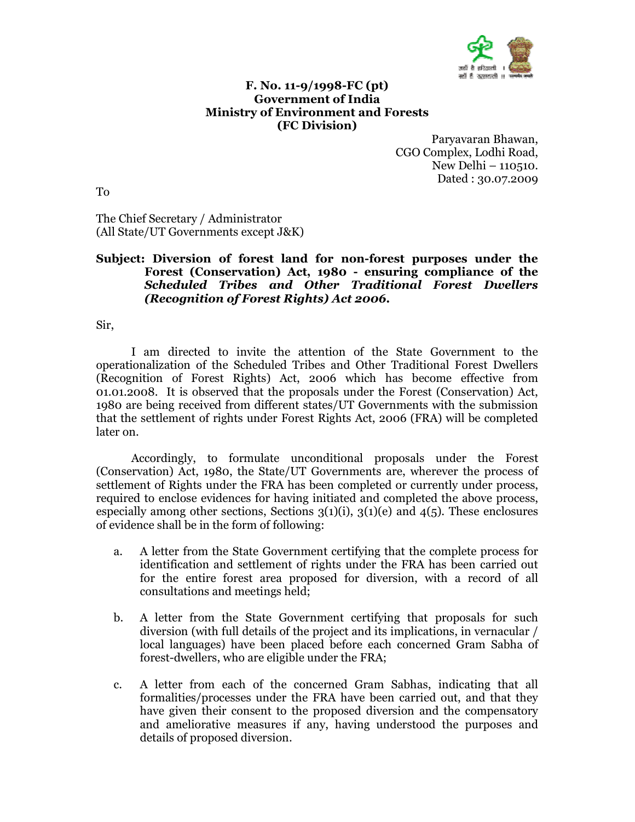

## F. No. 11-9/1998-FC (pt) Government of India Ministry of Environment and Forests (FC Division)

Paryavaran Bhawan, CGO Complex, Lodhi Road, New Delhi – 110510. Dated : 30.07.2009

To

The Chief Secretary / Administrator (All State/UT Governments except J&K)

## Subject: Diversion of forest land for non-forest purposes under the Forest (Conservation) Act, 1980 - ensuring compliance of the Scheduled Tribes and Other Traditional Forest Dwellers (Recognition of Forest Rights) Act 2006.

Sir,

 I am directed to invite the attention of the State Government to the operationalization of the Scheduled Tribes and Other Traditional Forest Dwellers (Recognition of Forest Rights) Act, 2006 which has become effective from 01.01.2008. It is observed that the proposals under the Forest (Conservation) Act, 1980 are being received from different states/UT Governments with the submission that the settlement of rights under Forest Rights Act, 2006 (FRA) will be completed later on.

 Accordingly, to formulate unconditional proposals under the Forest (Conservation) Act, 1980, the State/UT Governments are, wherever the process of settlement of Rights under the FRA has been completed or currently under process, required to enclose evidences for having initiated and completed the above process, especially among other sections, Sections  $3(1)(i)$ ,  $3(1)(e)$  and  $4(5)$ . These enclosures of evidence shall be in the form of following:

- a. A letter from the State Government certifying that the complete process for identification and settlement of rights under the FRA has been carried out for the entire forest area proposed for diversion, with a record of all consultations and meetings held;
- b. A letter from the State Government certifying that proposals for such diversion (with full details of the project and its implications, in vernacular / local languages) have been placed before each concerned Gram Sabha of forest-dwellers, who are eligible under the FRA;
- c. A letter from each of the concerned Gram Sabhas, indicating that all formalities/processes under the FRA have been carried out, and that they have given their consent to the proposed diversion and the compensatory and ameliorative measures if any, having understood the purposes and details of proposed diversion.